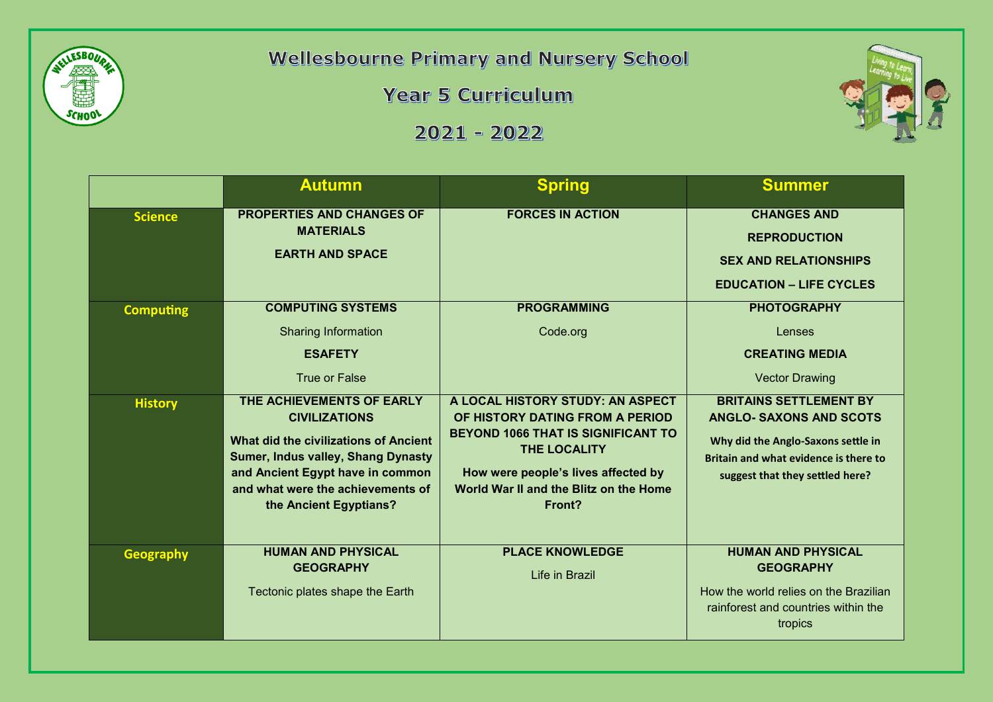

**Wellesbourne Primary and Nursery School** 

**Year 5 Curriculum** 

 $2021 - 2022$ 



|                  | <b>Autumn</b>                                                                                                                                                                                                                              | <b>Spring</b>                                                                                                                                                                                                                      | <b>Summer</b>                                                                                                                                                                     |
|------------------|--------------------------------------------------------------------------------------------------------------------------------------------------------------------------------------------------------------------------------------------|------------------------------------------------------------------------------------------------------------------------------------------------------------------------------------------------------------------------------------|-----------------------------------------------------------------------------------------------------------------------------------------------------------------------------------|
| <b>Science</b>   | <b>PROPERTIES AND CHANGES OF</b><br><b>MATERIALS</b><br><b>EARTH AND SPACE</b>                                                                                                                                                             | <b>FORCES IN ACTION</b>                                                                                                                                                                                                            | <b>CHANGES AND</b><br><b>REPRODUCTION</b><br><b>SEX AND RELATIONSHIPS</b><br><b>EDUCATION - LIFE CYCLES</b>                                                                       |
| <b>Computing</b> | <b>COMPUTING SYSTEMS</b><br><b>Sharing Information</b><br><b>ESAFETY</b><br><b>True or False</b>                                                                                                                                           | <b>PROGRAMMING</b><br>Code.org                                                                                                                                                                                                     | <b>PHOTOGRAPHY</b><br>Lenses<br><b>CREATING MEDIA</b><br><b>Vector Drawing</b>                                                                                                    |
| <b>History</b>   | THE ACHIEVEMENTS OF EARLY<br><b>CIVILIZATIONS</b><br>What did the civilizations of Ancient<br><b>Sumer, Indus valley, Shang Dynasty</b><br>and Ancient Egypt have in common<br>and what were the achievements of<br>the Ancient Egyptians? | A LOCAL HISTORY STUDY: AN ASPECT<br>OF HISTORY DATING FROM A PERIOD<br><b>BEYOND 1066 THAT IS SIGNIFICANT TO</b><br><b>THE LOCALITY</b><br>How were people's lives affected by<br>World War II and the Blitz on the Home<br>Front? | <b>BRITAINS SETTLEMENT BY</b><br><b>ANGLO- SAXONS AND SCOTS</b><br>Why did the Anglo-Saxons settle in<br>Britain and what evidence is there to<br>suggest that they settled here? |
| <b>Geography</b> | <b>HUMAN AND PHYSICAL</b><br><b>GEOGRAPHY</b><br>Tectonic plates shape the Earth                                                                                                                                                           | <b>PLACE KNOWLEDGE</b><br>Life in Brazil                                                                                                                                                                                           | <b>HUMAN AND PHYSICAL</b><br><b>GEOGRAPHY</b><br>How the world relies on the Brazilian<br>rainforest and countries within the<br>tropics                                          |